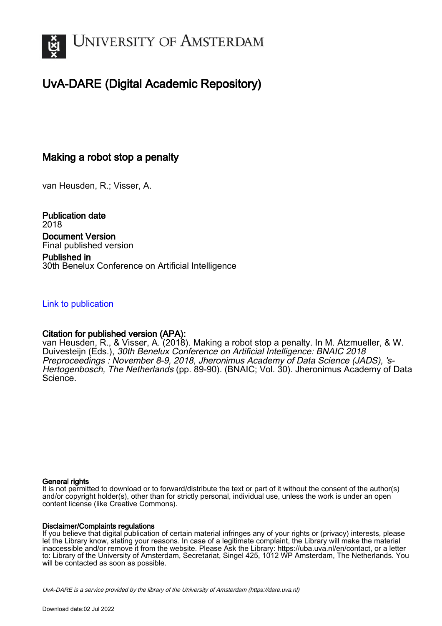

## UvA-DARE (Digital Academic Repository)

## Making a robot stop a penalty

van Heusden, R.; Visser, A.

Publication date 2018 Document Version Final published version

Published in 30th Benelux Conference on Artificial Intelligence

### [Link to publication](https://dare.uva.nl/personal/pure/en/publications/making-a-robot-stop-a-penalty(cdbdded2-49dc-43c2-8ed5-1e0e99b3d769).html)

## Citation for published version (APA):

van Heusden, R., & Visser, A. (2018). Making a robot stop a penalty. In M. Atzmueller, & W. Duivesteijn (Eds.), 30th Benelux Conference on Artificial Intelligence: BNAIC 2018 Preproceedings : November 8-9, 2018, Jheronimus Academy of Data Science (JADS), 's-Hertogenbosch, The Netherlands (pp. 89-90). (BNAIC; Vol. 30). Jheronimus Academy of Data Science.

### General rights

It is not permitted to download or to forward/distribute the text or part of it without the consent of the author(s) and/or copyright holder(s), other than for strictly personal, individual use, unless the work is under an open content license (like Creative Commons).

### Disclaimer/Complaints regulations

If you believe that digital publication of certain material infringes any of your rights or (privacy) interests, please let the Library know, stating your reasons. In case of a legitimate complaint, the Library will make the material inaccessible and/or remove it from the website. Please Ask the Library: https://uba.uva.nl/en/contact, or a letter to: Library of the University of Amsterdam, Secretariat, Singel 425, 1012 WP Amsterdam, The Netherlands. You will be contacted as soon as possible.

UvA-DARE is a service provided by the library of the University of Amsterdam (http*s*://dare.uva.nl)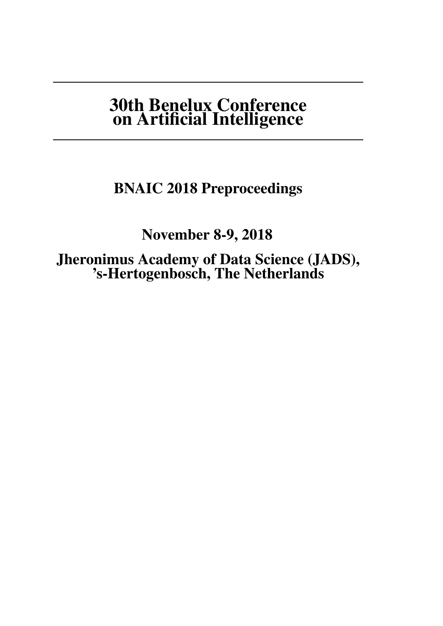# 30th Benelux Conference on Artificial Intelligence

## BNAIC 2018 Preproceedings

November 8-9, 2018

Jheronimus Academy of Data Science (JADS), 's-Hertogenbosch, The Netherlands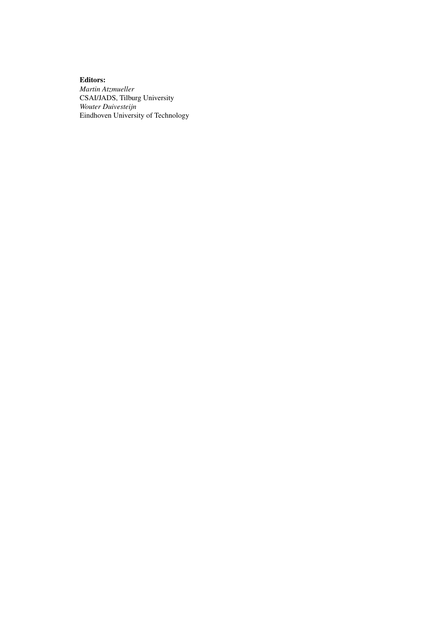Editors: *Martin Atzmueller* CSAI/JADS, Tilburg University *Wouter Duivesteijn* Eindhoven University of Technology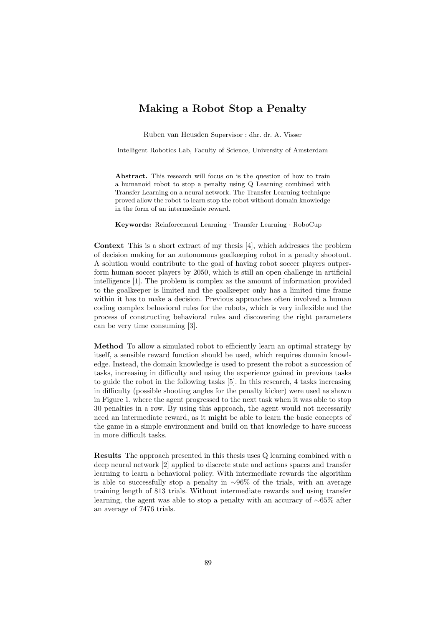### Making a Robot Stop a Penalty

Ruben van Heusden Supervisor : dhr. dr. A. Visser

Intelligent Robotics Lab, Faculty of Science, University of Amsterdam

Abstract. This research will focus on is the question of how to train a humanoid robot to stop a penalty using Q Learning combined with Transfer Learning on a neural network. The Transfer Learning technique proved allow the robot to learn stop the robot without domain knowledge in the form of an intermediate reward.

Keywords: Reinforcement Learning · Transfer Learning · RoboCup

Context This is a short extract of my thesis [4], which addresses the problem of decision making for an autonomous goalkeeping robot in a penalty shootout. A solution would contribute to the goal of having robot soccer players outperform human soccer players by 2050, which is still an open challenge in artificial intelligence [1]. The problem is complex as the amount of information provided to the goalkeeper is limited and the goalkeeper only has a limited time frame within it has to make a decision. Previous approaches often involved a human coding complex behavioral rules for the robots, which is very inflexible and the process of constructing behavioral rules and discovering the right parameters can be very time consuming [3].

Method To allow a simulated robot to efficiently learn an optimal strategy by itself, a sensible reward function should be used, which requires domain knowledge. Instead, the domain knowledge is used to present the robot a succession of tasks, increasing in difficulty and using the experience gained in previous tasks to guide the robot in the following tasks [5]. In this research, 4 tasks increasing in difficulty (possible shooting angles for the penalty kicker) were used as shown in Figure 1, where the agent progressed to the next task when it was able to stop 30 penalties in a row. By using this approach, the agent would not necessarily need an intermediate reward, as it might be able to learn the basic concepts of the game in a simple environment and build on that knowledge to have success in more difficult tasks.

Results The approach presented in this thesis uses Q learning combined with a deep neural network [2] applied to discrete state and actions spaces and transfer learning to learn a behavioral policy. With intermediate rewards the algorithm is able to successfully stop a penalty in ∼96% of the trials, with an average training length of 813 trials. Without intermediate rewards and using transfer learning, the agent was able to stop a penalty with an accuracy of ∼65% after an average of 7476 trials.